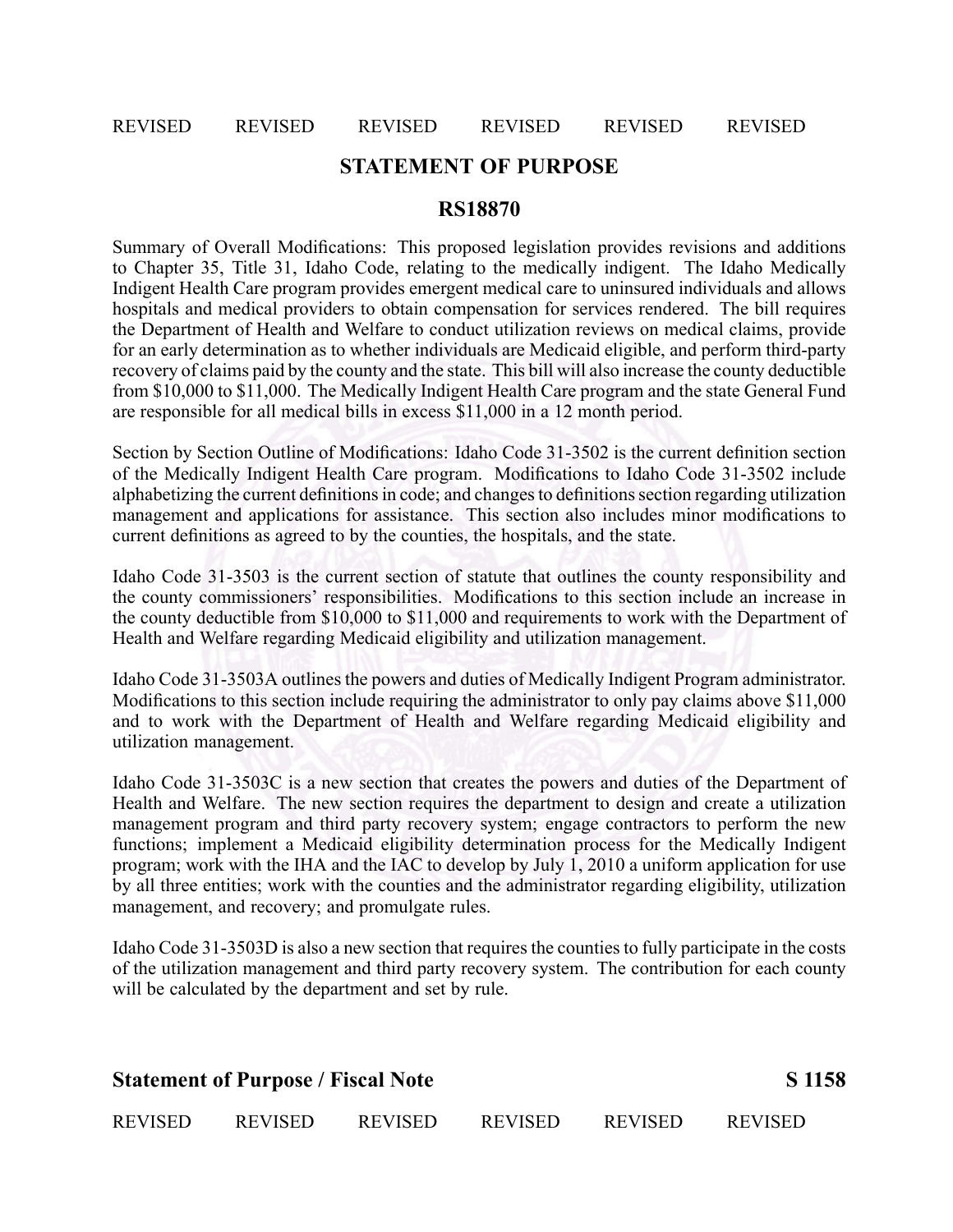#### REVISED REVISED REVISED REVISED REVISED REVISED

# **STATEMENT OF PURPOSE**

## **RS18870**

Summary of Overall Modifications: This proposed legislation provides revisions and additions to Chapter 35, Title 31, Idaho Code, relating to the medically indigent. The Idaho Medically Indigent Health Care program provides emergen<sup>t</sup> medical care to uninsured individuals and allows hospitals and medical providers to obtain compensation for services rendered. The bill requires the Department of Health and Welfare to conduct utilization reviews on medical claims, provide for an early determination as to whether individuals are Medicaid eligible, and perform third-party recovery of claims paid by the county and the state. This bill will also increase the county deductible from \$10,000 to \$11,000. The Medically Indigent Health Care program and the state General Fund are responsible for all medical bills in excess \$11,000 in <sup>a</sup> 12 month period.

Section by Section Outline of Modifications: Idaho Code 31-3502 is the current definition section of the Medically Indigent Health Care program. Modifications to Idaho Code 31-3502 include alphabetizing the current definitions in code; and changes to definitions section regarding utilization managemen<sup>t</sup> and applications for assistance. This section also includes minor modifications to current definitions as agreed to by the counties, the hospitals, and the state.

Idaho Code 31-3503 is the current section of statute that outlines the county responsibility and the county commissioners' responsibilities. Modifications to this section include an increase in the county deductible from \$10,000 to \$11,000 and requirements to work with the Department of Health and Welfare regarding Medicaid eligibility and utilization management.

Idaho Code 31-3503A outlines the powers and duties of Medically Indigent Program administrator. Modifications to this section include requiring the administrator to only pay claims above \$11,000 and to work with the Department of Health and Welfare regarding Medicaid eligibility and utilization management.

Idaho Code 31-3503C is a new section that creates the powers and duties of the Department of Health and Welfare. The new section requires the department to design and create <sup>a</sup> utilization managemen<sup>t</sup> program and third party recovery system; engage contractors to perform the new functions; implement <sup>a</sup> Medicaid eligibility determination process for the Medically Indigent program; work with the IHA and the IAC to develop by July 1, 2010 <sup>a</sup> uniform application for use by all three entities; work with the counties and the administrator regarding eligibility, utilization management, and recovery; and promulgate rules.

Idaho Code 31-3503D is also a new section that requires the counties to fully participate in the costs of the utilization managemen<sup>t</sup> and third party recovery system. The contribution for each county will be calculated by the department and set by rule.

| <b>Statement of Purpose / Fiscal Note</b> |                | S 1158         |                |                |                |
|-------------------------------------------|----------------|----------------|----------------|----------------|----------------|
| <b>REVISED</b>                            | <b>REVISED</b> | <b>REVISED</b> | <b>REVISED</b> | <b>REVISED</b> | <b>REVISED</b> |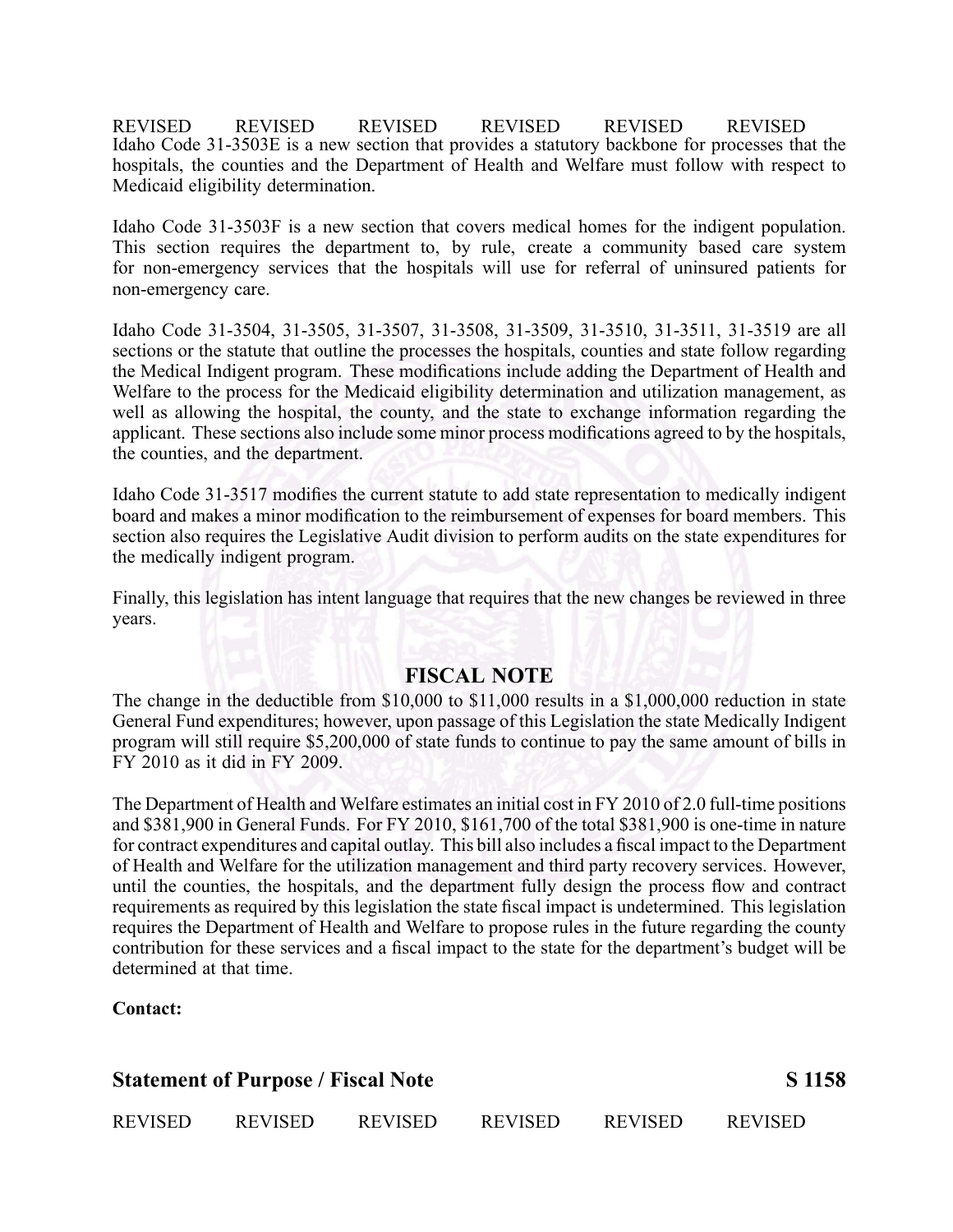REVISED REVISED REVISED REVISED REVISED REVISED Idaho Code 31-3503E is a new section that provides a statutory backbone for processes that the hospitals, the counties and the Department of Health and Welfare must follow with respec<sup>t</sup> to Medicaid eligibility determination.

Idaho Code 31-3503F is a new section that covers medical homes for the indigent population. This section requires the department to, by rule, create <sup>a</sup> community based care system for non-emergency services that the hospitals will use for referral of uninsured patients for non-emergency care.

Idaho Code 31-3504, 31-3505, 31-3507, 31-3508, 31-3509, 31-3510, 31-3511, 31-3519 are all sections or the statute that outline the processes the hospitals, counties and state follow regarding the Medical Indigent program. These modifications include adding the Department of Health and Welfare to the process for the Medicaid eligibility determination and utilization management, as well as allowing the hospital, the county, and the state to exchange information regarding the applicant. These sections also include some minor process modifications agreed to by the hospitals, the counties, and the department.

Idaho Code 31-3517 modifies the current statute to add state representation to medically indigent board and makes <sup>a</sup> minor modification to the reimbursement of expenses for board members. This section also requires the Legislative Audit division to perform audits on the state expenditures for the medically indigent program.

Finally, this legislation has intent language that requires that the new changes be reviewed in three years.

## **FISCAL NOTE**

The change in the deductible from \$10,000 to \$11,000 results in <sup>a</sup> \$1,000,000 reduction in state General Fund expenditures; however, upon passage of this Legislation the state Medically Indigent program will still require \$5,200,000 of state funds to continue to pay the same amount of bills in FY 2010 as it did in FY 2009.

The Department of Health and Welfare estimates an initial cost in FY 2010 of 2.0 full-time positions and \$381,900 in General Funds. For FY 2010, \$161,700 of the total \$381,900 is one-time in nature for contract expenditures and capital outlay. This bill also includes <sup>a</sup> fiscal impact to the Department of Health and Welfare for the utilization managemen<sup>t</sup> and third party recovery services. However, until the counties, the hospitals, and the department fully design the process flow and contract requirements as required by this legislation the state fiscal impact is undetermined. This legislation requires the Department of Health and Welfare to propose rules in the future regarding the county contribution for these services and <sup>a</sup> fiscal impact to the state for the department's budget will be determined at that time.

#### **Contact:**

| <b>Statement of Purpose / Fiscal Note</b> |                | S 1158         |                |                |                |
|-------------------------------------------|----------------|----------------|----------------|----------------|----------------|
| <b>REVISED</b>                            | <b>REVISED</b> | <b>REVISED</b> | <b>REVISED</b> | <b>REVISED</b> | <b>REVISED</b> |